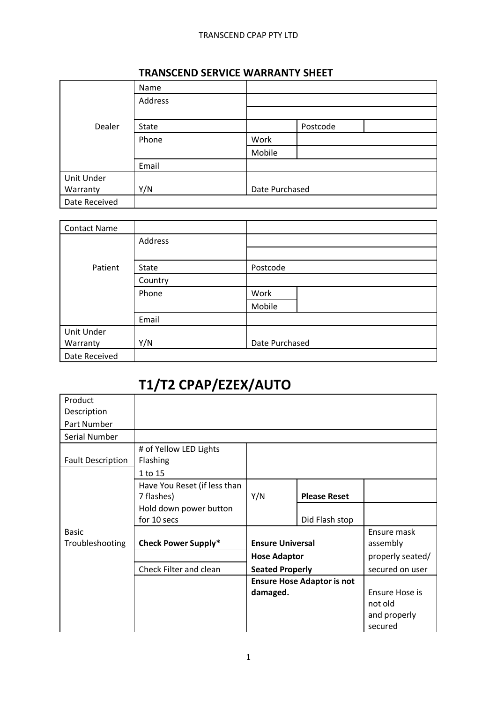### TRANSCEND CPAP PTY LTD

|               | Name    |                |          |  |  |
|---------------|---------|----------------|----------|--|--|
|               | Address |                |          |  |  |
|               |         |                |          |  |  |
| Dealer        | State   |                | Postcode |  |  |
|               | Phone   | Work           |          |  |  |
|               |         | Mobile         |          |  |  |
|               | Email   |                |          |  |  |
| Unit Under    |         |                |          |  |  |
| Warranty      | Y/N     | Date Purchased |          |  |  |
| Date Received |         |                |          |  |  |

### **TRANSCEND SERVICE WARRANTY SHEET**

| <b>Contact Name</b> |         |                |  |  |  |
|---------------------|---------|----------------|--|--|--|
|                     | Address |                |  |  |  |
|                     |         |                |  |  |  |
| Patient             | State   | Postcode       |  |  |  |
|                     | Country |                |  |  |  |
|                     | Phone   | Work           |  |  |  |
|                     |         | Mobile         |  |  |  |
|                     | Email   |                |  |  |  |
| Unit Under          |         |                |  |  |  |
| Warranty            | Y/N     | Date Purchased |  |  |  |
| Date Received       |         |                |  |  |  |

# **T1/T2 CPAP/EZEX/AUTO**

| Product                  |                              |                                                |                     |                  |
|--------------------------|------------------------------|------------------------------------------------|---------------------|------------------|
| Description              |                              |                                                |                     |                  |
| Part Number              |                              |                                                |                     |                  |
| Serial Number            |                              |                                                |                     |                  |
|                          | # of Yellow LED Lights       |                                                |                     |                  |
| <b>Fault Description</b> | Flashing                     |                                                |                     |                  |
|                          | 1 to 15                      |                                                |                     |                  |
|                          | Have You Reset (if less than |                                                |                     |                  |
|                          | 7 flashes)                   | Y/N                                            | <b>Please Reset</b> |                  |
|                          | Hold down power button       |                                                |                     |                  |
|                          | for 10 secs                  |                                                | Did Flash stop      |                  |
| <b>Basic</b>             |                              |                                                |                     | Ensure mask      |
| Troubleshooting          | <b>Check Power Supply*</b>   | <b>Ensure Universal</b><br><b>Hose Adaptor</b> |                     | assembly         |
|                          |                              |                                                |                     | properly seated/ |
|                          | Check Filter and clean       | <b>Seated Properly</b>                         |                     | secured on user  |
|                          |                              | <b>Ensure Hose Adaptor is not</b>              |                     |                  |
|                          |                              | damaged.                                       |                     | Ensure Hose is   |
|                          |                              |                                                |                     | not old          |
|                          |                              |                                                |                     | and properly     |
|                          |                              |                                                |                     | secured          |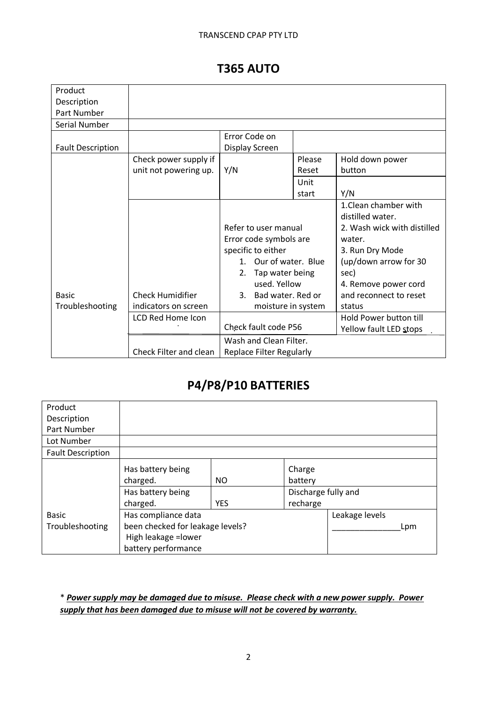### **T365 AUTO**

| Product                  |                         |                                 |        |                               |
|--------------------------|-------------------------|---------------------------------|--------|-------------------------------|
| Description              |                         |                                 |        |                               |
| Part Number              |                         |                                 |        |                               |
| Serial Number            |                         |                                 |        |                               |
|                          |                         | Error Code on                   |        |                               |
| <b>Fault Description</b> |                         | Display Screen                  |        |                               |
|                          | Check power supply if   |                                 | Please | Hold down power               |
|                          | unit not powering up.   | Y/N                             | Reset  | button                        |
|                          |                         |                                 | Unit   |                               |
|                          |                         |                                 | start  | Y/N                           |
|                          |                         |                                 |        | 1. Clean chamber with         |
|                          |                         |                                 |        | distilled water.              |
|                          |                         | Refer to user manual            |        | 2. Wash wick with distilled   |
|                          |                         | Error code symbols are          |        | water.                        |
|                          |                         | specific to either              |        | 3. Run Dry Mode               |
|                          |                         | Our of water. Blue<br>$1_{-}$   |        | (up/down arrow for 30         |
|                          |                         | Tap water being<br>2.           |        | sec)                          |
|                          |                         | used. Yellow                    |        | 4. Remove power cord          |
| <b>Basic</b>             | <b>Check Humidifier</b> | 3. Bad water, Red or            |        | and reconnect to reset        |
| Troubleshooting          | indicators on screen    | moisture in system              |        | status                        |
|                          | LCD Red Home Icon       |                                 |        | <b>Hold Power button till</b> |
|                          |                         | Check fault code P56            |        | Yellow fault LED stops        |
|                          |                         | Wash and Clean Filter.          |        |                               |
|                          | Check Filter and clean  | <b>Replace Filter Regularly</b> |        |                               |

# **P4/P8/P10 BATTERIES**

| Product                  |                                          |            |          |                |
|--------------------------|------------------------------------------|------------|----------|----------------|
| Description              |                                          |            |          |                |
| Part Number              |                                          |            |          |                |
| Lot Number               |                                          |            |          |                |
| <b>Fault Description</b> |                                          |            |          |                |
|                          | Has battery being                        |            | Charge   |                |
|                          | charged.                                 | NO.        | battery  |                |
|                          | Discharge fully and<br>Has battery being |            |          |                |
|                          | charged.                                 | <b>YES</b> | recharge |                |
| <b>Basic</b>             | Has compliance data                      |            |          | Leakage levels |
| Troubleshooting          | been checked for leakage levels?         |            |          | Lpm            |
|                          | High leakage = lower                     |            |          |                |
|                          | battery performance                      |            |          |                |

\* *Power supply may be damaged due to misuse. Please check with a new power supply. Power supply that has been damaged due to misuse will not be covered by warranty.*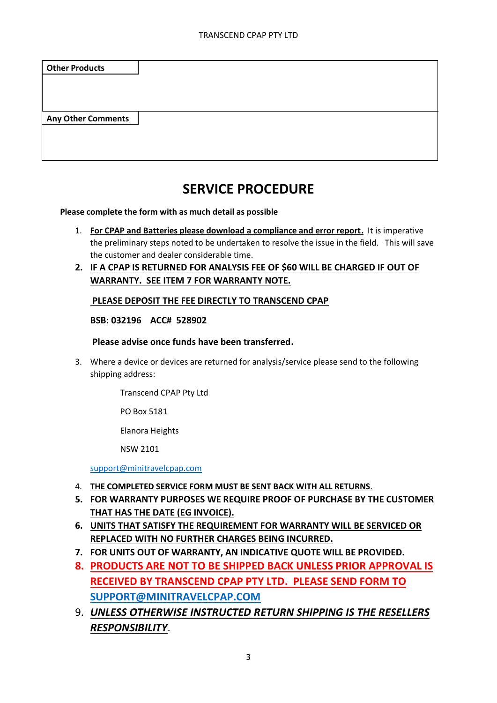| <b>Other Products</b>     |  |
|---------------------------|--|
|                           |  |
| <b>Any Other Comments</b> |  |
|                           |  |
|                           |  |

## **SERVICE PROCEDURE**

**Please complete the form with as much detail as possible**

- 1. **For CPAP and Batteries please download a compliance and error report.** It is imperative the preliminary steps noted to be undertaken to resolve the issue in the field. This will save the customer and dealer considerable time.
- **2. IF A CPAP IS RETURNED FOR ANALYSIS FEE OF \$60 WILL BE CHARGED IF OUT OF WARRANTY. SEE ITEM 7 FOR WARRANTY NOTE.**

#### **PLEASE DEPOSIT THE FEE DIRECTLY TO TRANSCEND CPAP**

#### **BSB: 032196 ACC# 528902**

#### **Please advise once funds have been transferred.**

3. Where a device or devices are returned for analysis/service please send to the following shipping address:

Transcend CPAP Pty Ltd

PO Box 5181

Elanora Heights

NSW 2101

[support@minitravelcpap.com](mailto:support@minitravelcpap.com)

- 4. **THE COMPLETED SERVICE FORM MUST BE SENT BACK WITH ALL RETURNS**.
- **5. FOR WARRANTY PURPOSES WE REQUIRE PROOF OF PURCHASE BY THE CUSTOMER THAT HAS THE DATE (EG INVOICE).**
- **6. UNITS THAT SATISFY THE REQUIREMENT FOR WARRANTY WILL BE SERVICED OR REPLACED WITH NO FURTHER CHARGES BEING INCURRED.**
- **7. FOR UNITS OUT OF WARRANTY, AN INDICATIVE QUOTE WILL BE PROVIDED.**
- **8. PRODUCTS ARE NOT TO BE SHIPPED BACK UNLESS PRIOR APPROVAL IS RECEIVED BY TRANSCEND CPAP PTY LTD. PLEASE SEND FORM TO [SUPPORT@MINITRAVELCPAP.COM](mailto:support@minitravelcpap.com)**
- 9. *UNLESS OTHERWISE INSTRUCTED RETURN SHIPPING IS THE RESELLERS RESPONSIBILITY*.